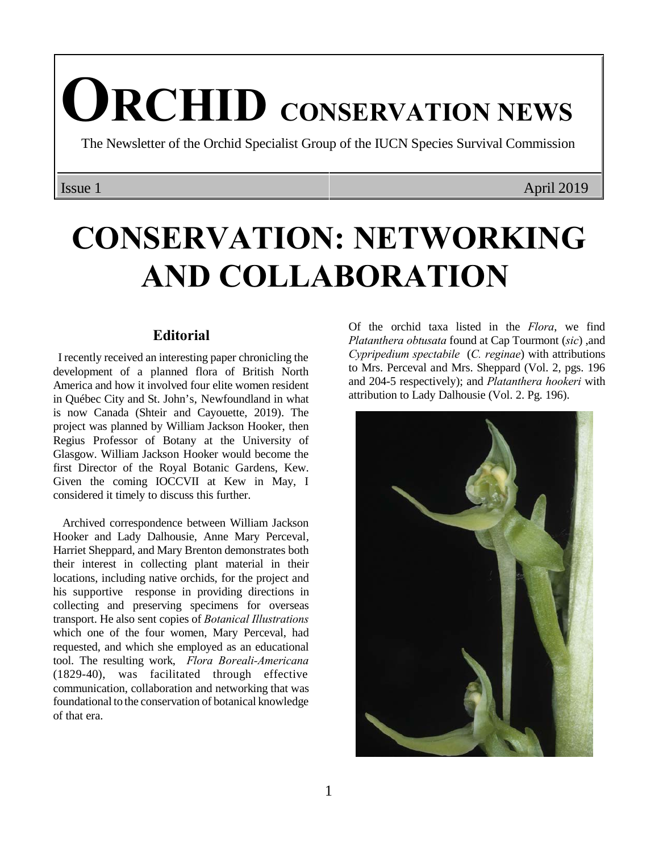# **ORCHID CONSERVATION NEWS**

The Newsletter of the Orchid Specialist Group of the IUCN Species Survival Commission

Issue 1 April 2019

# **CONSERVATION: NETWORKING AND COLLABORATION**

### **Editorial**

 I recently received an interesting paper chronicling the development of a planned flora of British North America and how it involved four elite women resident in Québec City and St. John's, Newfoundland in what is now Canada (Shteir and Cayouette, 2019). The project was planned by William Jackson Hooker, then Regius Professor of Botany at the University of Glasgow. William Jackson Hooker would become the first Director of the Royal Botanic Gardens, Kew. Given the coming IOCCVII at Kew in May, I considered it timely to discuss this further.

 Archived correspondence between William Jackson Hooker and Lady Dalhousie, Anne Mary Perceval, Harriet Sheppard, and Mary Brenton demonstrates both their interest in collecting plant material in their locations, including native orchids, for the project and his supportive response in providing directions in collecting and preserving specimens for overseas transport. He also sent copies of *Botanical Illustrations* which one of the four women, Mary Perceval, had requested, and which she employed as an educational tool. The resulting work, *Flora Boreali-Americana* (1829-40), was facilitated through effective communication, collaboration and networking that was foundational to the conservation of botanical knowledge of that era.

Of the orchid taxa listed in the *Flora*, we find *Platanthera obtusata* found at Cap Tourmont (*sic*) ,and *Cypripedium spectabile* (*C. reginae*) with attributions to Mrs. Perceval and Mrs. Sheppard (Vol. 2, pgs. 196 and 204-5 respectively); and *Platanthera hookeri* with attribution to Lady Dalhousie (Vol. 2. Pg. 196).

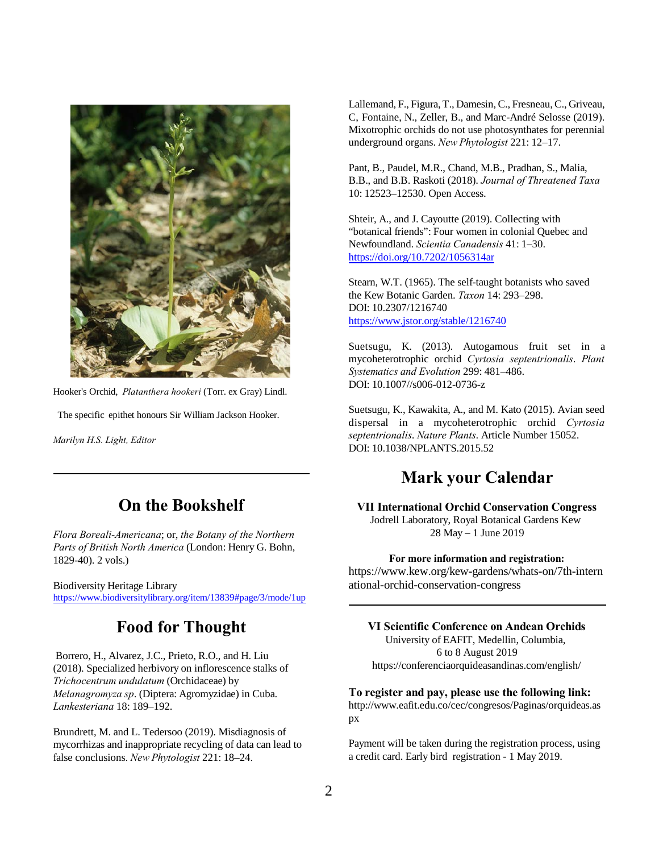

Hooker's Orchid, *Platanthera hookeri* (Torr. ex Gray) Lindl.

The specific epithet honours Sir William Jackson Hooker.

*Marilyn H.S. Light, Editor*

# **On the Bookshelf**

*Flora Boreali-Americana*; or, *the Botany of the Northern Parts of British North America* (London: Henry G. Bohn, 1829-40). 2 vols.)

Biodiversity Heritage Library <https://www.biodiversitylibrary.org/item/13839#page/3/mode/1up>

# **Food for Thought**

 Borrero, H., Alvarez, J.C., Prieto, R.O., and H. Liu (2018). Specialized herbivory on inflorescence stalks of *Trichocentrum undulatum* (Orchidaceae) by *Melanagromyza sp*. (Diptera: Agromyzidae) in Cuba. *Lankesteriana* 18: 189–192.

Brundrett, M. and L. Tedersoo (2019). Misdiagnosis of mycorrhizas and inappropriate recycling of data can lead to false conclusions. *New Phytologist* 221: 18–24.

Lallemand, F., Figura, T., Damesin, C., Fresneau, C., Griveau, C, Fontaine, N., Zeller, B., and Marc-André Selosse (2019). Mixotrophic orchids do not use photosynthates for perennial underground organs. *New Phytologist* 221: 12–17.

Pant, B., Paudel, M.R., Chand, M.B., Pradhan, S., Malia, B.B., and B.B. Raskoti (2018). *Journal of Threatened Taxa* 10: 12523–12530. Open Access.

Shteir, A., and J. Cayoutte (2019). Collecting with "botanical friends": Four women in colonial Quebec and Newfoundland. *Scientia Canadensis* 41: 1–30. [https://doi.org/10.7202/1056314ar](Https://doi.org/10.7202/1056314ar)

Stearn, W.T. (1965). The self-taught botanists who saved the Kew Botanic Garden. *Taxon* 14: 293–298. DOI: 10.2307/1216740 <https://www.jstor.org/stable/1216740>

Suetsugu, K. (2013). Autogamous fruit set in a mycoheterotrophic orchid *Cyrtosia septentrionalis*. *Plant Systematics and Evolution* 299: 481–486. DOI: 10.1007//s006-012-0736-z

Suetsugu, K., Kawakita, A., and M. Kato (2015). Avian seed dispersal in a mycoheterotrophic orchid *Cyrtosia septentrionalis*. *Nature Plants*. Article Number 15052. DOI: 10.1038/NPLANTS.2015.52

## **Mark your Calendar**

**VII International Orchid Conservation Congress** Jodrell Laboratory, Royal Botanical Gardens Kew 28 May – 1 June 2019

#### **For more information and registration:**

https://www.kew.org/kew-gardens/whats-on/7th-intern ational-orchid-conservation-congress

#### **VI Scientific Conference on Andean Orchids**

University of EAFIT, Medellin, Columbia, 6 to 8 August 2019 https://conferenciaorquideasandinas.com/english/

#### **To register and pay, please use the following link:**

http://www.eafit.edu.co/cec/congresos/Paginas/orquideas.as px

Payment will be taken during the registration process, using a credit card. Early bird registration - 1 May 2019.